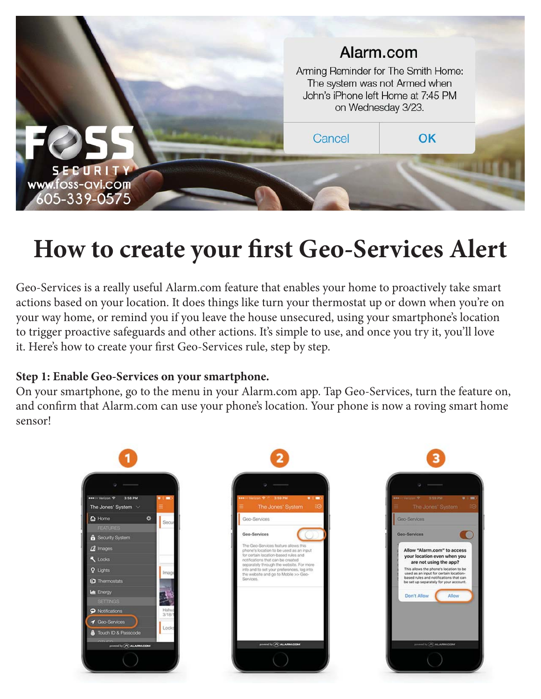

# **How to create your first Geo-Services Alert**

Geo-Services is a really useful Alarm.com feature that enables your home to proactively take smart actions based on your location. It does things like turn your thermostat up or down when you're on your way home, or remind you if you leave the house unsecured, using your smartphone's location to trigger proactive safeguards and other actions. It's simple to use, and once you try it, you'll love it. Here's how to create your first Geo-Services rule, step by step.

## **Step 1: Enable Geo-Services on your smartphone.**

On your smartphone, go to the menu in your Alarm.com app. Tap Geo-Services, turn the feature on, and confirm that Alarm.com can use your phone's location. Your phone is now a roving smart home sensor!

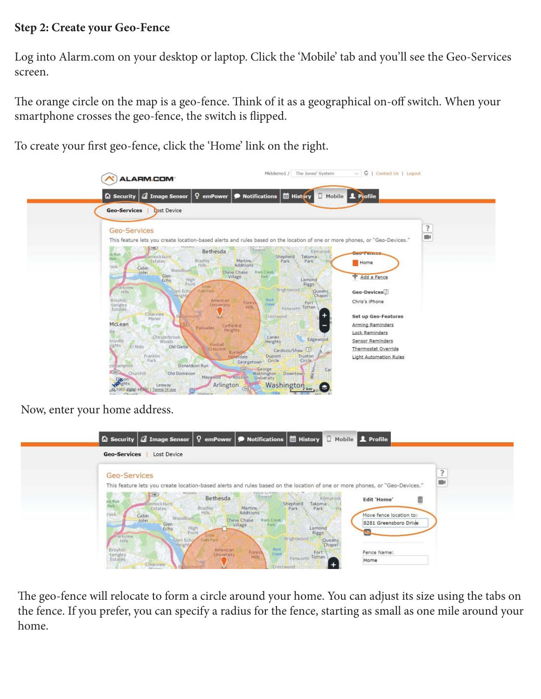#### **Step 2: Create your Geo-Fence**

Log into Alarm.com on your desktop or laptop. Click the 'Mobile' tab and you'll see the Geo-Services screen.

The orange circle on the map is a geo-fence. Think of it as a geographical on-off switch. When your smartphone crosses the geo-fence, the switch is flipped.

To create your first geo-fence, click the 'Home' link on the right.

| Image Sensor<br><b>Q</b> Security                                                                                                                        | Mobile 1 Pofile<br><b>History</b><br>$\Omega$ emPower $\Omega$ Notifications                                                                                                               |
|----------------------------------------------------------------------------------------------------------------------------------------------------------|--------------------------------------------------------------------------------------------------------------------------------------------------------------------------------------------|
| <b>Geo-Services</b><br><b>Dost Device</b>                                                                                                                |                                                                                                                                                                                            |
| Geo-Services                                                                                                                                             | 3<br>m.<br>This feature lets you create location-based alerts and rules based on the location of one or more phones, or "Geo-Devices."                                                     |
| 190)<br>Bethesda<br>$\frac{1}{2}$ Hun<br>Bannockburn<br>ark:<br>Bradley<br>Estates<br>Hills:<br>ock<br>Cabin<br>Woodburn<br>John<br>Glen<br>High<br>Echo | Kimarock<br>Forest<br>Geo-Fences<br>Takoma<br>Shepherd<br>Martins.<br>Park<br>Park<br>Home<br>Additions<br>Chevy Chase<br><b>Rock Creek</b><br>Add a Fence<br>Village<br>Park.<br>Lamond   |
| Point<br><b>Little</b><br>Parkview<br>Falls Park<br>Glen Echo<br>Hills<br>Height<br>Broyhill-<br>tangley<br>Estates<br>Clearview                         | <b>Riggs</b><br>Brightwood<br>Queens<br>Geo-Devices<br>'Chapel<br>Rock<br>American<br>Chris's iPhone<br>Forest<br>Fort<br>Creol<br><b>University</b><br>Totten<br><b>Hills</b><br>Petworth |
| Manor<br>McLean<br><b>Palisades</b><br>ile.                                                                                                              | Set up Geo-Features<br>Crestwood<br>Arming Reminders<br>Cathedral<br><b>Heights</b><br>Lock Reminders                                                                                      |
| Chesterbrook<br>insville<br>Woods<br>Foxhall<br><b>lights</b><br>Old Glebe<br>El Nido<br>Crescent<br>Franklin                                            | Lanier<br>Edgewood<br>Sensor Reminders<br>Heights<br>Thermostat Override<br>Cardozo/Shaw 1<br><b>Burleit</b><br>Truxton<br>Dupont<br>Hillendale<br>Light Automation Rules                  |
| Park<br>Donaldson Run<br>tstbampton<br><b>(267)</b> Churchill<br>Old Dominion<br>Maywood<br>Elizion                                                      | Circle<br>Circle<br>Georgetown<br>[20]<br>George<br>Car<br>Washington Downtown<br>Rasslyn<br>University                                                                                    |

Now, enter your home address.

| <b>Geo-Services</b><br>Lost Device                                                                                                                         |
|------------------------------------------------------------------------------------------------------------------------------------------------------------|
| Geo-Services                                                                                                                                               |
| This feature lets you create location-based alerts and rules based on the location of one or more phones, or "Geo-Devices."                                |
| Forest<br><b><i>VELILIATS</i></b><br>(i)<br>Kilmarook<br>Bethesda<br>Ō<br><b>Edit 'Home'</b><br>ck Run                                                     |
| annockburn.<br>Shepherd<br>Takoma<br><b>SER</b><br>Bradley<br>Martins:<br>Park<br>Park<br>Estates<br>Hills<br>Additions<br>rock<br>Move fence location to: |
| Cabin<br>John<br>Woodburn<br>Chew Chase Rock Creek<br>8281 Greensboro Drive<br>Glen<br>Village                                                             |
| High<br>Point<br>Lamond<br>Echo<br><b>Riggs</b><br>Parkview.                                                                                               |
| Brightwood<br>Glen Echo<br>Falls Park<br>Queens<br>Chapel<br><b>Hills</b><br>Height                                                                        |
| Rock<br>Broyhill<br>Langley<br>Estates<br>American<br>Forest<br>Fence Name:<br>Fort<br>Creek<br>University<br>Petworth Totten                              |

The geo-fence will relocate to form a circle around your home. You can adjust its size using the tabs on the fence. If you prefer, you can specify a radius for the fence, starting as small as one mile around your home.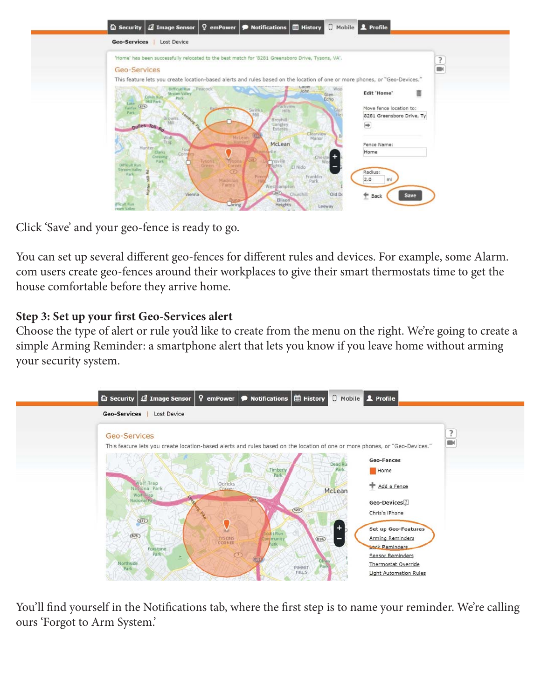| 'Home' has been successfully relocated to the best match for '8281 Greensboro Drive, Tysons, VA'.                           |                                     |                           | $\frac{?}{ }$ |
|-----------------------------------------------------------------------------------------------------------------------------|-------------------------------------|---------------------------|---------------|
| <b>Geo-Services</b>                                                                                                         |                                     |                           |               |
| This feature lets you create location-based alerts and rules based on the location of one or more phones, or "Geo-Devices." |                                     |                           |               |
| Difficult Run Peacock                                                                                                       | Labin<br>John<br>Woo                |                           |               |
| <b>Strutam Valley</b><br>Colvin Run<br>Park                                                                                 | Glen:                               | 面<br><b>Edit 'Home'</b>   |               |
| Mill Park<br>Lake                                                                                                           | Echo                                |                           |               |
| Fairfax (874)<br>Park                                                                                                       | Parkview<br>Swinks<br>Glen<br>Hills | Move fence location to:   |               |
| Leester<br>Browns                                                                                                           | 14e<br>Broyhill-                    | 8281 Greensboro Drive, Ty |               |
| pulles Toll Rd                                                                                                              | tiangley                            | $\Rightarrow$             |               |
|                                                                                                                             | Estates<br>Clearview                |                           |               |
| McLean<br>Wolf<br>Trap<br>Harriet                                                                                           | Manor                               |                           |               |
| Hunter-<br>Fou                                                                                                              | McLean                              | Fence Name:               |               |
| <b>Clarks</b><br>Corner<br>Crossing                                                                                         | <i><b>Ville</b></i><br>Cheste<br>r. | Home                      |               |
| (122)<br><b>Traons</b><br>Tysons:<br>Green<br>$p_{2Fk}$<br>Difficult Run                                                    | msville                             |                           |               |
| <b>Streem Valley</b><br>$\bigcirc$<br>ė                                                                                     | Eights<br>El Nido                   | Radius:                   |               |
| Park                                                                                                                        | Franklin<br>Pirm                    | 2.0                       |               |
| Madrillon<br>Farms                                                                                                          | Park<br>Westmanspton                | mi                        |               |

Click 'Save' and your geo-fence is ready to go.

You can set up several different geo-fences for different rules and devices. For example, some Alarm. com users create geo-fences around their workplaces to give their smart thermostats time to get the house comfortable before they arrive home.

# **Step 3: Set up your first Geo-Services alert**

Choose the type of alert or rule you'd like to create from the menu on the right. We're going to create a simple Arming Reminder: a smartphone alert that lets you know if you leave home without arming your security system.



You'll find yourself in the Notifications tab, where the first step is to name your reminder. We're calling ours 'Forgot to Arm System.'